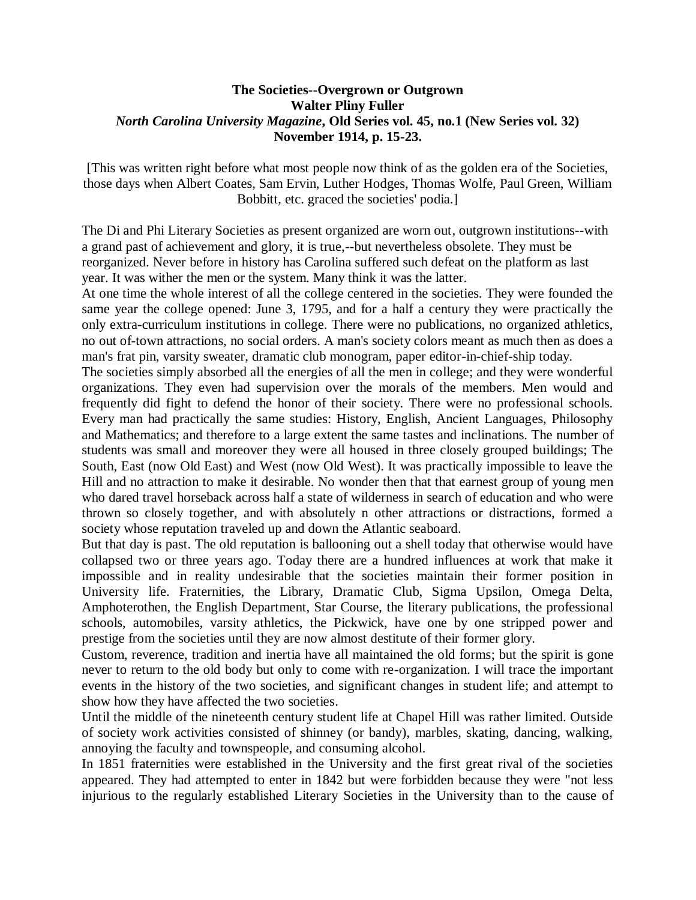## **The Societies--Overgrown or Outgrown Walter Pliny Fuller** *North Carolina University Magazine***, Old Series vol. 45, no.1 (New Series vol. 32) November 1914, p. 15-23.**

[This was written right before what most people now think of as the golden era of the Societies, those days when Albert Coates, Sam Ervin, Luther Hodges, Thomas Wolfe, Paul Green, William Bobbitt, etc. graced the societies' podia.]

The Di and Phi Literary Societies as present organized are worn out, outgrown institutions--with a grand past of achievement and glory, it is true,--but nevertheless obsolete. They must be reorganized. Never before in history has Carolina suffered such defeat on the platform as last year. It was wither the men or the system. Many think it was the latter.

At one time the whole interest of all the college centered in the societies. They were founded the same year the college opened: June 3, 1795, and for a half a century they were practically the only extra-curriculum institutions in college. There were no publications, no organized athletics, no out of-town attractions, no social orders. A man's society colors meant as much then as does a man's frat pin, varsity sweater, dramatic club monogram, paper editor-in-chief-ship today.

The societies simply absorbed all the energies of all the men in college; and they were wonderful organizations. They even had supervision over the morals of the members. Men would and frequently did fight to defend the honor of their society. There were no professional schools. Every man had practically the same studies: History, English, Ancient Languages, Philosophy and Mathematics; and therefore to a large extent the same tastes and inclinations. The number of students was small and moreover they were all housed in three closely grouped buildings; The South, East (now Old East) and West (now Old West). It was practically impossible to leave the Hill and no attraction to make it desirable. No wonder then that that earnest group of young men who dared travel horseback across half a state of wilderness in search of education and who were thrown so closely together, and with absolutely n other attractions or distractions, formed a society whose reputation traveled up and down the Atlantic seaboard.

But that day is past. The old reputation is ballooning out a shell today that otherwise would have collapsed two or three years ago. Today there are a hundred influences at work that make it impossible and in reality undesirable that the societies maintain their former position in University life. Fraternities, the Library, Dramatic Club, Sigma Upsilon, Omega Delta, Amphoterothen, the English Department, Star Course, the literary publications, the professional schools, automobiles, varsity athletics, the Pickwick, have one by one stripped power and prestige from the societies until they are now almost destitute of their former glory.

Custom, reverence, tradition and inertia have all maintained the old forms; but the spirit is gone never to return to the old body but only to come with re-organization. I will trace the important events in the history of the two societies, and significant changes in student life; and attempt to show how they have affected the two societies.

Until the middle of the nineteenth century student life at Chapel Hill was rather limited. Outside of society work activities consisted of shinney (or bandy), marbles, skating, dancing, walking, annoying the faculty and townspeople, and consuming alcohol.

In 1851 fraternities were established in the University and the first great rival of the societies appeared. They had attempted to enter in 1842 but were forbidden because they were "not less injurious to the regularly established Literary Societies in the University than to the cause of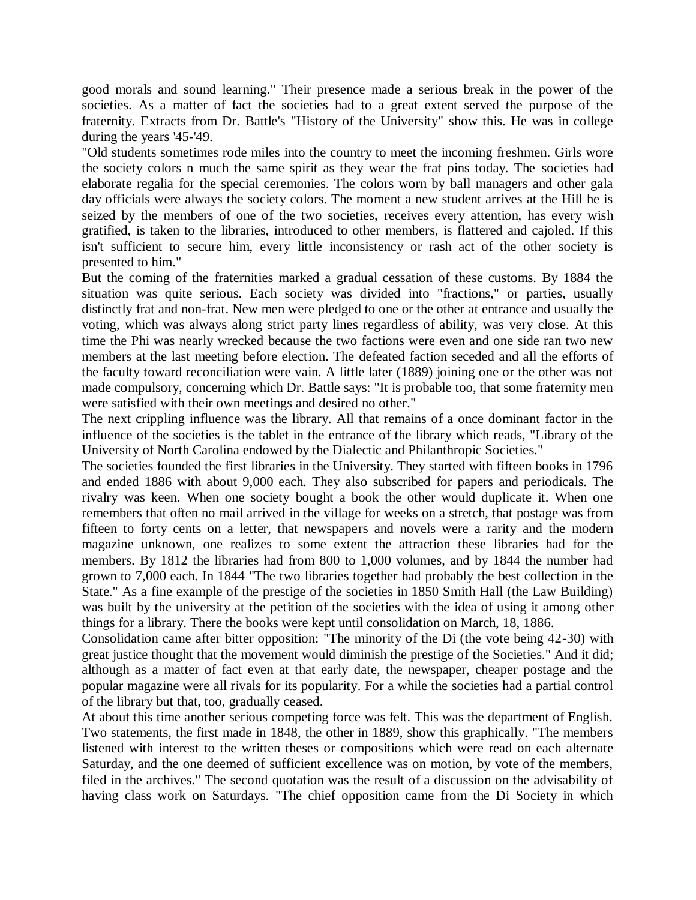good morals and sound learning." Their presence made a serious break in the power of the societies. As a matter of fact the societies had to a great extent served the purpose of the fraternity. Extracts from Dr. Battle's "History of the University" show this. He was in college during the years '45-'49.

"Old students sometimes rode miles into the country to meet the incoming freshmen. Girls wore the society colors n much the same spirit as they wear the frat pins today. The societies had elaborate regalia for the special ceremonies. The colors worn by ball managers and other gala day officials were always the society colors. The moment a new student arrives at the Hill he is seized by the members of one of the two societies, receives every attention, has every wish gratified, is taken to the libraries, introduced to other members, is flattered and cajoled. If this isn't sufficient to secure him, every little inconsistency or rash act of the other society is presented to him."

But the coming of the fraternities marked a gradual cessation of these customs. By 1884 the situation was quite serious. Each society was divided into "fractions," or parties, usually distinctly frat and non-frat. New men were pledged to one or the other at entrance and usually the voting, which was always along strict party lines regardless of ability, was very close. At this time the Phi was nearly wrecked because the two factions were even and one side ran two new members at the last meeting before election. The defeated faction seceded and all the efforts of the faculty toward reconciliation were vain. A little later (1889) joining one or the other was not made compulsory, concerning which Dr. Battle says: "It is probable too, that some fraternity men were satisfied with their own meetings and desired no other."

The next crippling influence was the library. All that remains of a once dominant factor in the influence of the societies is the tablet in the entrance of the library which reads, "Library of the University of North Carolina endowed by the Dialectic and Philanthropic Societies."

The societies founded the first libraries in the University. They started with fifteen books in 1796 and ended 1886 with about 9,000 each. They also subscribed for papers and periodicals. The rivalry was keen. When one society bought a book the other would duplicate it. When one remembers that often no mail arrived in the village for weeks on a stretch, that postage was from fifteen to forty cents on a letter, that newspapers and novels were a rarity and the modern magazine unknown, one realizes to some extent the attraction these libraries had for the members. By 1812 the libraries had from 800 to 1,000 volumes, and by 1844 the number had grown to 7,000 each. In 1844 "The two libraries together had probably the best collection in the State." As a fine example of the prestige of the societies in 1850 Smith Hall (the Law Building) was built by the university at the petition of the societies with the idea of using it among other things for a library. There the books were kept until consolidation on March, 18, 1886.

Consolidation came after bitter opposition: "The minority of the Di (the vote being 42-30) with great justice thought that the movement would diminish the prestige of the Societies." And it did; although as a matter of fact even at that early date, the newspaper, cheaper postage and the popular magazine were all rivals for its popularity. For a while the societies had a partial control of the library but that, too, gradually ceased.

At about this time another serious competing force was felt. This was the department of English. Two statements, the first made in 1848, the other in 1889, show this graphically. "The members listened with interest to the written theses or compositions which were read on each alternate Saturday, and the one deemed of sufficient excellence was on motion, by vote of the members, filed in the archives." The second quotation was the result of a discussion on the advisability of having class work on Saturdays. "The chief opposition came from the Di Society in which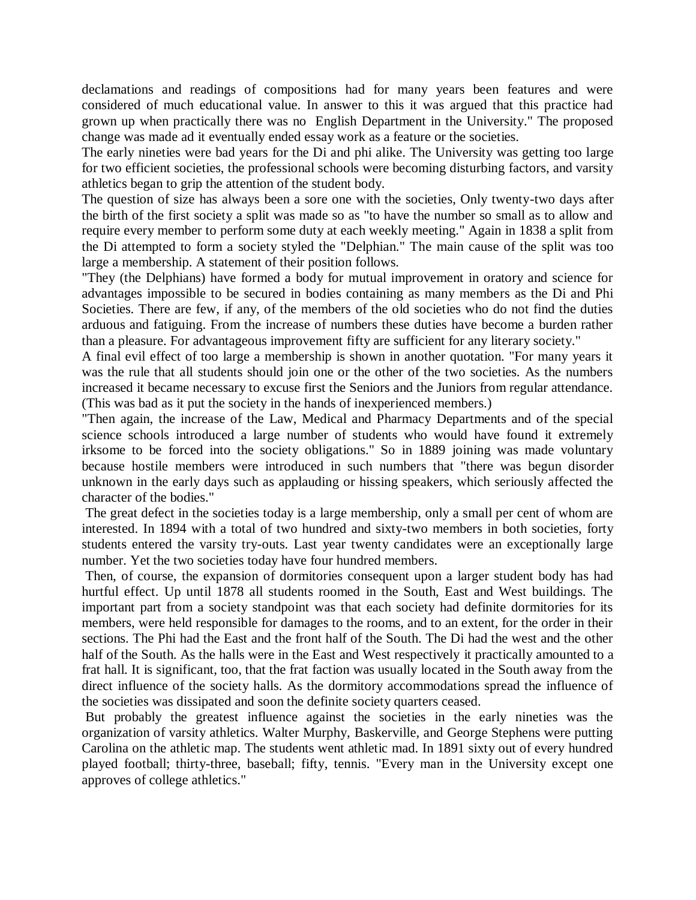declamations and readings of compositions had for many years been features and were considered of much educational value. In answer to this it was argued that this practice had grown up when practically there was no English Department in the University." The proposed change was made ad it eventually ended essay work as a feature or the societies.

The early nineties were bad years for the Di and phi alike. The University was getting too large for two efficient societies, the professional schools were becoming disturbing factors, and varsity athletics began to grip the attention of the student body.

The question of size has always been a sore one with the societies, Only twenty-two days after the birth of the first society a split was made so as "to have the number so small as to allow and require every member to perform some duty at each weekly meeting." Again in 1838 a split from the Di attempted to form a society styled the "Delphian." The main cause of the split was too large a membership. A statement of their position follows.

"They (the Delphians) have formed a body for mutual improvement in oratory and science for advantages impossible to be secured in bodies containing as many members as the Di and Phi Societies. There are few, if any, of the members of the old societies who do not find the duties arduous and fatiguing. From the increase of numbers these duties have become a burden rather than a pleasure. For advantageous improvement fifty are sufficient for any literary society."

A final evil effect of too large a membership is shown in another quotation. "For many years it was the rule that all students should join one or the other of the two societies. As the numbers increased it became necessary to excuse first the Seniors and the Juniors from regular attendance. (This was bad as it put the society in the hands of inexperienced members.)

"Then again, the increase of the Law, Medical and Pharmacy Departments and of the special science schools introduced a large number of students who would have found it extremely irksome to be forced into the society obligations." So in 1889 joining was made voluntary because hostile members were introduced in such numbers that "there was begun disorder unknown in the early days such as applauding or hissing speakers, which seriously affected the character of the bodies."

The great defect in the societies today is a large membership, only a small per cent of whom are interested. In 1894 with a total of two hundred and sixty-two members in both societies, forty students entered the varsity try-outs. Last year twenty candidates were an exceptionally large number. Yet the two societies today have four hundred members.

Then, of course, the expansion of dormitories consequent upon a larger student body has had hurtful effect. Up until 1878 all students roomed in the South, East and West buildings. The important part from a society standpoint was that each society had definite dormitories for its members, were held responsible for damages to the rooms, and to an extent, for the order in their sections. The Phi had the East and the front half of the South. The Di had the west and the other half of the South. As the halls were in the East and West respectively it practically amounted to a frat hall. It is significant, too, that the frat faction was usually located in the South away from the direct influence of the society halls. As the dormitory accommodations spread the influence of the societies was dissipated and soon the definite society quarters ceased.

But probably the greatest influence against the societies in the early nineties was the organization of varsity athletics. Walter Murphy, Baskerville, and George Stephens were putting Carolina on the athletic map. The students went athletic mad. In 1891 sixty out of every hundred played football; thirty-three, baseball; fifty, tennis. "Every man in the University except one approves of college athletics."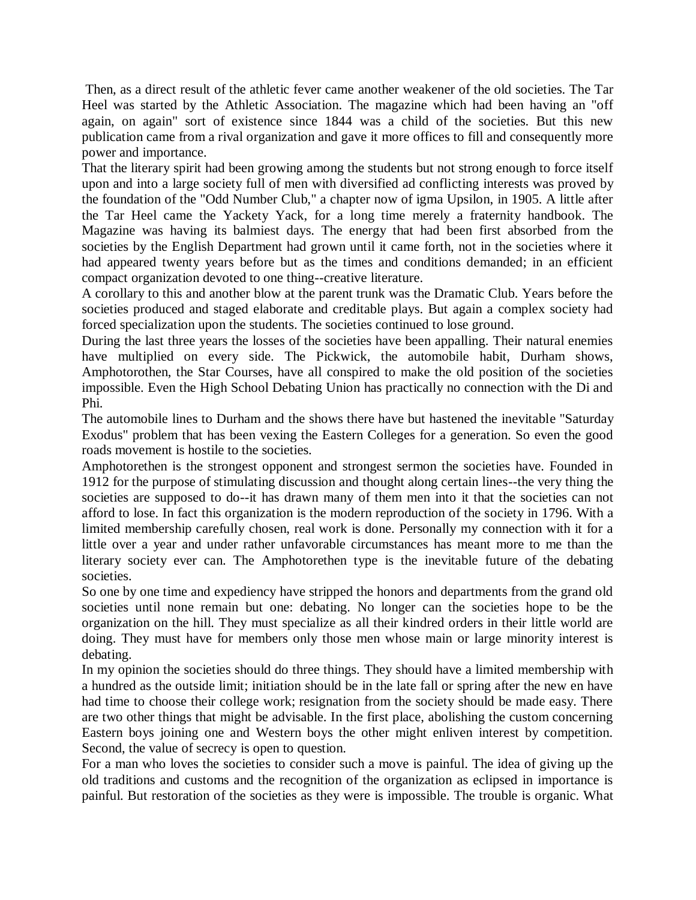Then, as a direct result of the athletic fever came another weakener of the old societies. The Tar Heel was started by the Athletic Association. The magazine which had been having an "off again, on again" sort of existence since 1844 was a child of the societies. But this new publication came from a rival organization and gave it more offices to fill and consequently more power and importance.

That the literary spirit had been growing among the students but not strong enough to force itself upon and into a large society full of men with diversified ad conflicting interests was proved by the foundation of the "Odd Number Club," a chapter now of igma Upsilon, in 1905. A little after the Tar Heel came the Yackety Yack, for a long time merely a fraternity handbook. The Magazine was having its balmiest days. The energy that had been first absorbed from the societies by the English Department had grown until it came forth, not in the societies where it had appeared twenty years before but as the times and conditions demanded; in an efficient compact organization devoted to one thing--creative literature.

A corollary to this and another blow at the parent trunk was the Dramatic Club. Years before the societies produced and staged elaborate and creditable plays. But again a complex society had forced specialization upon the students. The societies continued to lose ground.

During the last three years the losses of the societies have been appalling. Their natural enemies have multiplied on every side. The Pickwick, the automobile habit, Durham shows, Amphotorothen, the Star Courses, have all conspired to make the old position of the societies impossible. Even the High School Debating Union has practically no connection with the Di and Phi.

The automobile lines to Durham and the shows there have but hastened the inevitable "Saturday Exodus" problem that has been vexing the Eastern Colleges for a generation. So even the good roads movement is hostile to the societies.

Amphotorethen is the strongest opponent and strongest sermon the societies have. Founded in 1912 for the purpose of stimulating discussion and thought along certain lines--the very thing the societies are supposed to do--it has drawn many of them men into it that the societies can not afford to lose. In fact this organization is the modern reproduction of the society in 1796. With a limited membership carefully chosen, real work is done. Personally my connection with it for a little over a year and under rather unfavorable circumstances has meant more to me than the literary society ever can. The Amphotorethen type is the inevitable future of the debating societies.

So one by one time and expediency have stripped the honors and departments from the grand old societies until none remain but one: debating. No longer can the societies hope to be the organization on the hill. They must specialize as all their kindred orders in their little world are doing. They must have for members only those men whose main or large minority interest is debating.

In my opinion the societies should do three things. They should have a limited membership with a hundred as the outside limit; initiation should be in the late fall or spring after the new en have had time to choose their college work; resignation from the society should be made easy. There are two other things that might be advisable. In the first place, abolishing the custom concerning Eastern boys joining one and Western boys the other might enliven interest by competition. Second, the value of secrecy is open to question.

For a man who loves the societies to consider such a move is painful. The idea of giving up the old traditions and customs and the recognition of the organization as eclipsed in importance is painful. But restoration of the societies as they were is impossible. The trouble is organic. What